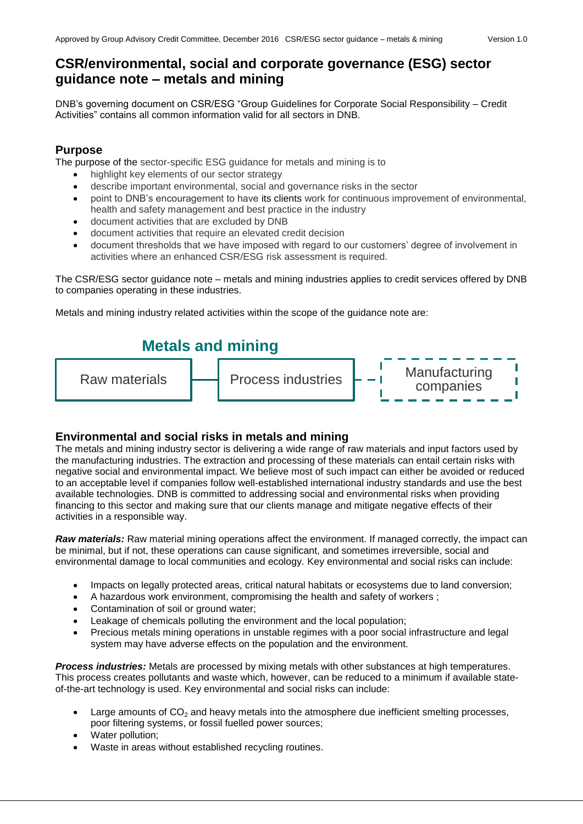# **CSR/environmental, social and corporate governance (ESG) sector guidance note – metals and mining**

DNB's governing document on CSR/ESG "Group Guidelines for Corporate Social Responsibility – Credit Activities" contains all common information valid for all sectors in DNB.

### **Purpose**

The purpose of the sector-specific ESG guidance for metals and mining is to

- highlight key elements of our sector strategy
- describe important environmental, social and governance risks in the sector
- point to DNB's encouragement to have its clients work for continuous improvement of environmental,
- health and safety management and best practice in the industry
- document activities that are excluded by DNB
- document activities that require an elevated credit decision
- document thresholds that we have imposed with regard to our customers' degree of involvement in activities where an enhanced CSR/ESG risk assessment is required.

The CSR/ESG sector guidance note – metals and mining industries applies to credit services offered by DNB to companies operating in these industries.

Metals and mining industry related activities within the scope of the guidance note are:



## **Environmental and social risks in metals and mining**

The metals and mining industry sector is delivering a wide range of raw materials and input factors used by the manufacturing industries. The extraction and processing of these materials can entail certain risks with negative social and environmental impact. We believe most of such impact can either be avoided or reduced to an acceptable level if companies follow well-established international industry standards and use the best available technologies. DNB is committed to addressing social and environmental risks when providing financing to this sector and making sure that our clients manage and mitigate negative effects of their activities in a responsible way.

*Raw materials:* Raw material mining operations affect the environment. If managed correctly, the impact can be minimal, but if not, these operations can cause significant, and sometimes irreversible, social and environmental damage to local communities and ecology. Key environmental and social risks can include:

- Impacts on legally protected areas, critical natural habitats or ecosystems due to land conversion;
- A hazardous work environment, compromising the health and safety of workers ;
- Contamination of soil or ground water:
- Leakage of chemicals polluting the environment and the local population;
- Precious metals mining operations in unstable regimes with a poor social infrastructure and legal system may have adverse effects on the population and the environment.

*Process industries:* Metals are processed by mixing metals with other substances at high temperatures. This process creates pollutants and waste which, however, can be reduced to a minimum if available stateof-the-art technology is used. Key environmental and social risks can include:

- Large amounts of  $CO<sub>2</sub>$  and heavy metals into the atmosphere due inefficient smelting processes, poor filtering systems, or fossil fuelled power sources;
- Water pollution;
- Waste in areas without established recycling routines.